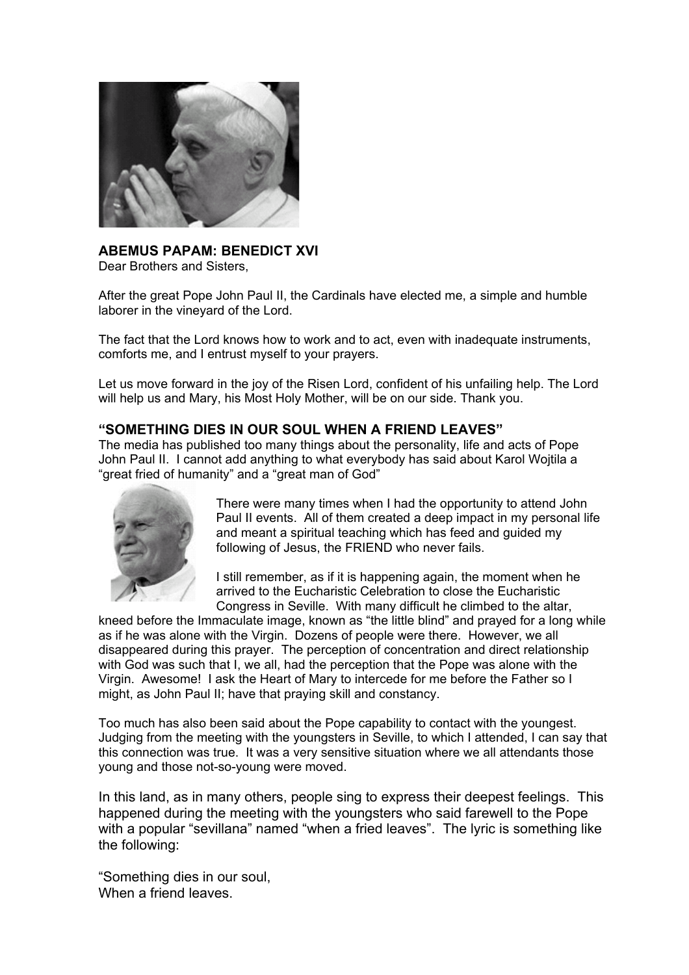

# **ABEMUS PAPAM: BENEDICT XVI**

Dear Brothers and Sisters,

After the great Pope John Paul II, the Cardinals have elected me, a simple and humble laborer in the vineyard of the Lord.

The fact that the Lord knows how to work and to act, even with inadequate instruments, comforts me, and I entrust myself to your prayers.

Let us move forward in the joy of the Risen Lord, confident of his unfailing help. The Lord will help us and Mary, his Most Holy Mother, will be on our side. Thank you.

## **"SOMETHING DIES IN OUR SOUL WHEN A FRIEND LEAVES"**

The media has published too many things about the personality, life and acts of Pope John Paul II. I cannot add anything to what everybody has said about Karol Wojtila a "great fried of humanity" and a "great man of God"



There were many times when I had the opportunity to attend John Paul II events. All of them created a deep impact in my personal life and meant a spiritual teaching which has feed and guided my following of Jesus, the FRIEND who never fails.

I still remember, as if it is happening again, the moment when he arrived to the Eucharistic Celebration to close the Eucharistic Congress in Seville. With many difficult he climbed to the altar,

kneed before the Immaculate image, known as "the little blind" and prayed for a long while as if he was alone with the Virgin. Dozens of people were there. However, we all disappeared during this prayer. The perception of concentration and direct relationship with God was such that I, we all, had the perception that the Pope was alone with the Virgin. Awesome! I ask the Heart of Mary to intercede for me before the Father so I might, as John Paul II; have that praying skill and constancy.

Too much has also been said about the Pope capability to contact with the youngest. Judging from the meeting with the youngsters in Seville, to which I attended, I can say that this connection was true. It was a very sensitive situation where we all attendants those young and those not-so-young were moved.

In this land, as in many others, people sing to express their deepest feelings. This happened during the meeting with the youngsters who said farewell to the Pope with a popular "sevillana" named "when a fried leaves". The Ivric is something like the following:

"Something dies in our soul, When a friend leaves.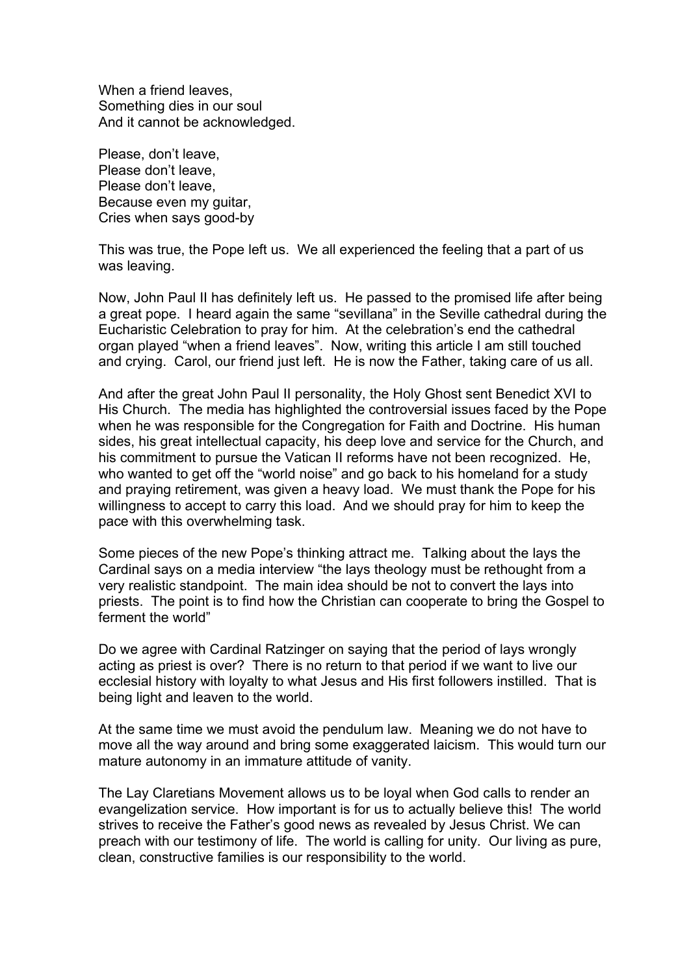When a friend leaves, Something dies in our soul And it cannot be acknowledged.

Please, don't leave, Please don't leave, Please don't leave, Because even my guitar, Cries when says good-by

This was true, the Pope left us. We all experienced the feeling that a part of us was leaving.

Now, John Paul II has definitely left us. He passed to the promised life after being a great pope. I heard again the same "sevillana" in the Seville cathedral during the Eucharistic Celebration to pray for him. At the celebration's end the cathedral organ played "when a friend leaves". Now, writing this article I am still touched and crying. Carol, our friend just left. He is now the Father, taking care of us all.

And after the great John Paul II personality, the Holy Ghost sent Benedict XVI to His Church. The media has highlighted the controversial issues faced by the Pope when he was responsible for the Congregation for Faith and Doctrine. His human sides, his great intellectual capacity, his deep love and service for the Church, and his commitment to pursue the Vatican II reforms have not been recognized. He, who wanted to get off the "world noise" and go back to his homeland for a study and praying retirement, was given a heavy load. We must thank the Pope for his willingness to accept to carry this load. And we should pray for him to keep the pace with this overwhelming task.

Some pieces of the new Pope's thinking attract me. Talking about the lays the Cardinal says on a media interview "the lays theology must be rethought from a very realistic standpoint. The main idea should be not to convert the lays into priests. The point is to find how the Christian can cooperate to bring the Gospel to ferment the world"

Do we agree with Cardinal Ratzinger on saying that the period of lays wrongly acting as priest is over? There is no return to that period if we want to live our ecclesial history with loyalty to what Jesus and His first followers instilled. That is being light and leaven to the world.

At the same time we must avoid the pendulum law. Meaning we do not have to move all the way around and bring some exaggerated laicism. This would turn our mature autonomy in an immature attitude of vanity.

The Lay Claretians Movement allows us to be loyal when God calls to render an evangelization service. How important is for us to actually believe this! The world strives to receive the Father's good news as revealed by Jesus Christ. We can preach with our testimony of life. The world is calling for unity. Our living as pure, clean, constructive families is our responsibility to the world.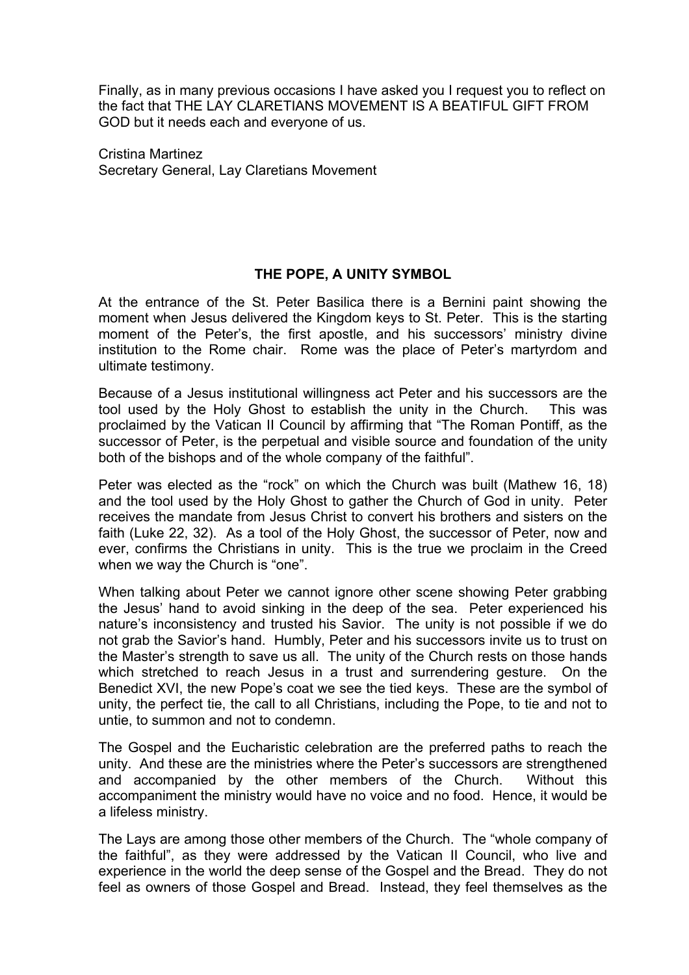Finally, as in many previous occasions I have asked you I request you to reflect on the fact that THE LAY CLARETIANS MOVEMENT IS A BEATIFUL GIFT FROM GOD but it needs each and everyone of us.

Cristina Martinez Secretary General, Lay Claretians Movement

# **THE POPE, A UNITY SYMBOL**

At the entrance of the St. Peter Basilica there is a Bernini paint showing the moment when Jesus delivered the Kingdom keys to St. Peter. This is the starting moment of the Peter's, the first apostle, and his successors' ministry divine institution to the Rome chair. Rome was the place of Peter's martyrdom and ultimate testimony.

Because of a Jesus institutional willingness act Peter and his successors are the tool used by the Holy Ghost to establish the unity in the Church. This was proclaimed by the Vatican II Council by affirming that "The Roman Pontiff, as the successor of Peter, is the perpetual and visible source and foundation of the unity both of the bishops and of the whole company of the faithful".

Peter was elected as the "rock" on which the Church was built (Mathew 16, 18) and the tool used by the Holy Ghost to gather the Church of God in unity. Peter receives the mandate from Jesus Christ to convert his brothers and sisters on the faith (Luke 22, 32). As a tool of the Holy Ghost, the successor of Peter, now and ever, confirms the Christians in unity. This is the true we proclaim in the Creed when we way the Church is "one".

When talking about Peter we cannot ignore other scene showing Peter grabbing the Jesus' hand to avoid sinking in the deep of the sea. Peter experienced his nature's inconsistency and trusted his Savior. The unity is not possible if we do not grab the Savior's hand. Humbly, Peter and his successors invite us to trust on the Master's strength to save us all. The unity of the Church rests on those hands which stretched to reach Jesus in a trust and surrendering gesture. On the Benedict XVI, the new Pope's coat we see the tied keys. These are the symbol of unity, the perfect tie, the call to all Christians, including the Pope, to tie and not to untie, to summon and not to condemn.

The Gospel and the Eucharistic celebration are the preferred paths to reach the unity. And these are the ministries where the Peter's successors are strengthened and accompanied by the other members of the Church. Without this accompaniment the ministry would have no voice and no food. Hence, it would be a lifeless ministry.

The Lays are among those other members of the Church. The "whole company of the faithful", as they were addressed by the Vatican II Council, who live and experience in the world the deep sense of the Gospel and the Bread. They do not feel as owners of those Gospel and Bread. Instead, they feel themselves as the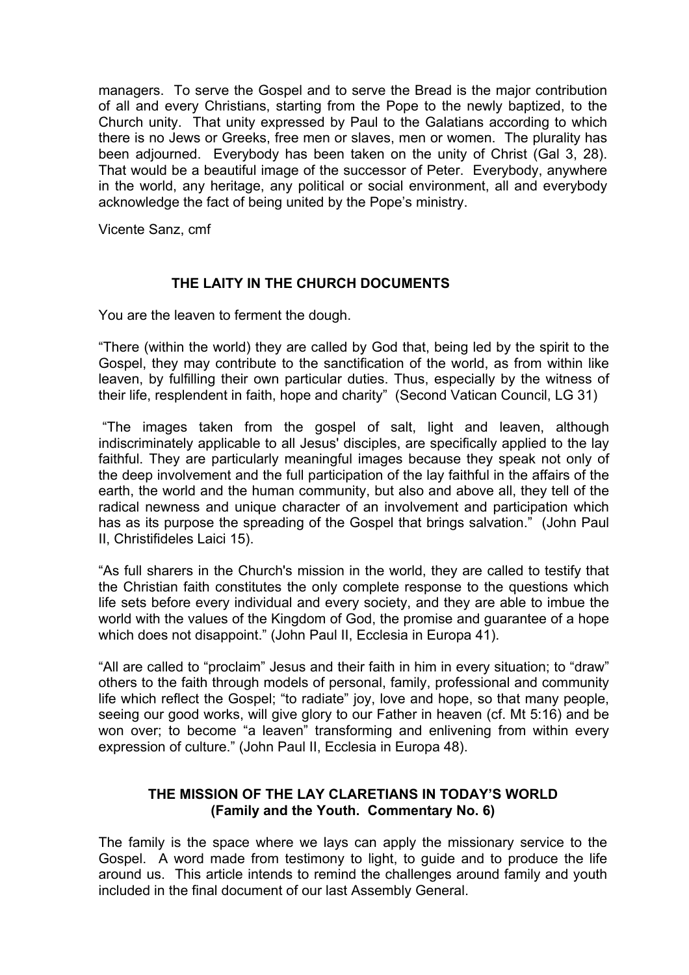managers. To serve the Gospel and to serve the Bread is the major contribution of all and every Christians, starting from the Pope to the newly baptized, to the Church unity. That unity expressed by Paul to the Galatians according to which there is no Jews or Greeks, free men or slaves, men or women. The plurality has been adjourned. Everybody has been taken on the unity of Christ (Gal 3, 28). That would be a beautiful image of the successor of Peter. Everybody, anywhere in the world, any heritage, any political or social environment, all and everybody acknowledge the fact of being united by the Pope's ministry.

Vicente Sanz, cmf

# **THE LAITY IN THE CHURCH DOCUMENTS**

You are the leaven to ferment the dough.

"There (within the world) they are called by God that, being led by the spirit to the Gospel, they may contribute to the sanctification of the world, as from within like leaven, by fulfilling their own particular duties. Thus, especially by the witness of their life, resplendent in faith, hope and charity" (Second Vatican Council, LG 31)

 "The images taken from the gospel of salt, light and leaven, although indiscriminately applicable to all Jesus' disciples, are specifically applied to the lay faithful. They are particularly meaningful images because they speak not only of the deep involvement and the full participation of the lay faithful in the affairs of the earth, the world and the human community, but also and above all, they tell of the radical newness and unique character of an involvement and participation which has as its purpose the spreading of the Gospel that brings salvation." (John Paul II, Christifideles Laici 15).

"As full sharers in the Church's mission in the world, they are called to testify that the Christian faith constitutes the only complete response to the questions which life sets before every individual and every society, and they are able to imbue the world with the values of the Kingdom of God, the promise and guarantee of a hope which does not disappoint." (John Paul II, Ecclesia in Europa 41).

"All are called to "proclaim" Jesus and their faith in him in every situation; to "draw" others to the faith through models of personal, family, professional and community life which reflect the Gospel; "to radiate" joy, love and hope, so that many people, seeing our good works, will give glory to our Father in heaven (cf. Mt 5:16) and be won over; to become "a leaven" transforming and enlivening from within every expression of culture." (John Paul II, Ecclesia in Europa 48).

# **THE MISSION OF THE LAY CLARETIANS IN TODAY'S WORLD (Family and the Youth. Commentary No. 6)**

The family is the space where we lays can apply the missionary service to the Gospel. A word made from testimony to light, to guide and to produce the life around us. This article intends to remind the challenges around family and youth included in the final document of our last Assembly General.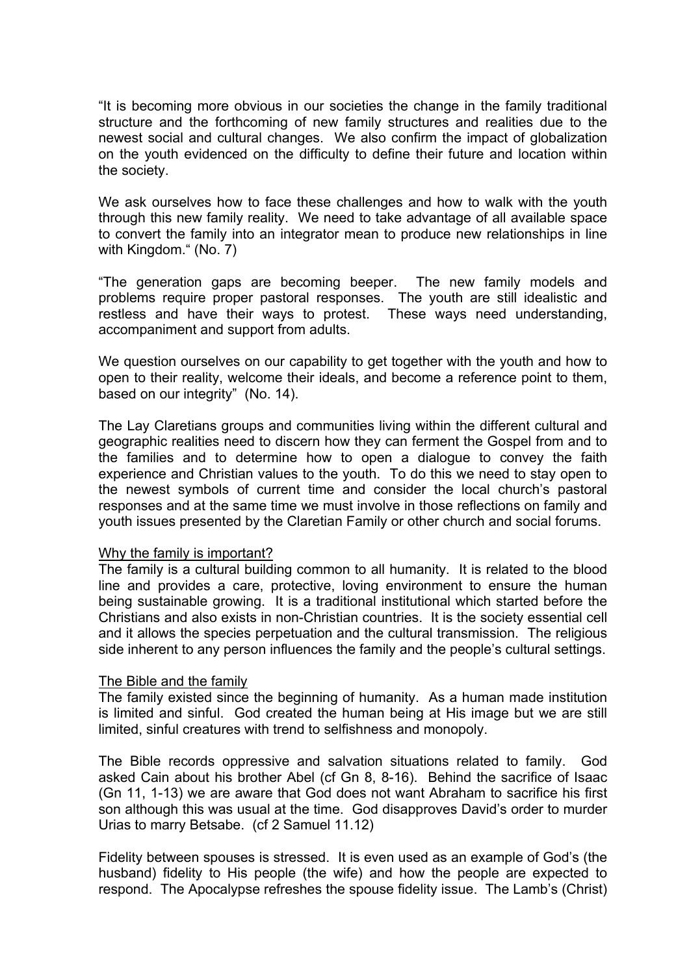"It is becoming more obvious in our societies the change in the family traditional structure and the forthcoming of new family structures and realities due to the newest social and cultural changes. We also confirm the impact of globalization on the youth evidenced on the difficulty to define their future and location within the society.

We ask ourselves how to face these challenges and how to walk with the youth through this new family reality. We need to take advantage of all available space to convert the family into an integrator mean to produce new relationships in line with Kingdom." (No. 7)

"The generation gaps are becoming beeper. The new family models and problems require proper pastoral responses. The youth are still idealistic and restless and have their ways to protest. These ways need understanding, accompaniment and support from adults.

We question ourselves on our capability to get together with the youth and how to open to their reality, welcome their ideals, and become a reference point to them, based on our integrity" (No. 14).

The Lay Claretians groups and communities living within the different cultural and geographic realities need to discern how they can ferment the Gospel from and to the families and to determine how to open a dialogue to convey the faith experience and Christian values to the youth. To do this we need to stay open to the newest symbols of current time and consider the local church's pastoral responses and at the same time we must involve in those reflections on family and youth issues presented by the Claretian Family or other church and social forums.

#### Why the family is important?

The family is a cultural building common to all humanity. It is related to the blood line and provides a care, protective, loving environment to ensure the human being sustainable growing. It is a traditional institutional which started before the Christians and also exists in non-Christian countries. It is the society essential cell and it allows the species perpetuation and the cultural transmission. The religious side inherent to any person influences the family and the people's cultural settings.

#### The Bible and the family

The family existed since the beginning of humanity. As a human made institution is limited and sinful. God created the human being at His image but we are still limited, sinful creatures with trend to selfishness and monopoly.

The Bible records oppressive and salvation situations related to family. God asked Cain about his brother Abel (cf Gn 8, 8-16). Behind the sacrifice of Isaac (Gn 11, 1-13) we are aware that God does not want Abraham to sacrifice his first son although this was usual at the time. God disapproves David's order to murder Urias to marry Betsabe. (cf 2 Samuel 11.12)

Fidelity between spouses is stressed. It is even used as an example of God's (the husband) fidelity to His people (the wife) and how the people are expected to respond. The Apocalypse refreshes the spouse fidelity issue. The Lamb's (Christ)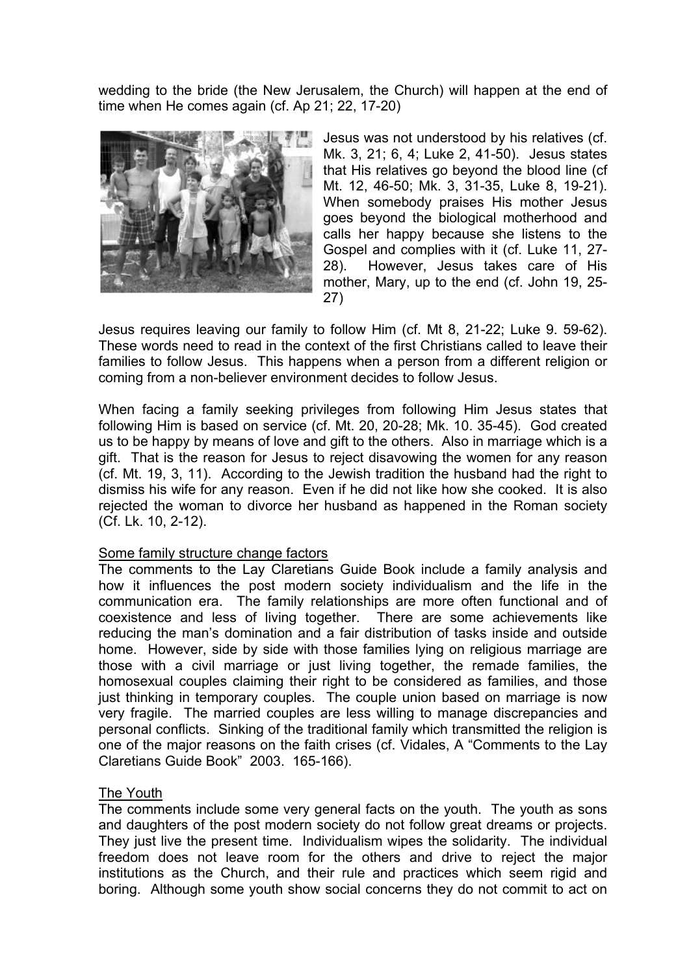wedding to the bride (the New Jerusalem, the Church) will happen at the end of time when He comes again (cf. Ap 21; 22, 17-20)



Jesus was not understood by his relatives (cf. Mk. 3, 21; 6, 4; Luke 2, 41-50). Jesus states that His relatives go beyond the blood line (cf Mt. 12, 46-50; Mk. 3, 31-35, Luke 8, 19-21). When somebody praises His mother Jesus goes beyond the biological motherhood and calls her happy because she listens to the Gospel and complies with it (cf. Luke 11, 27- 28). However, Jesus takes care of His mother, Mary, up to the end (cf. John 19, 25- 27)

Jesus requires leaving our family to follow Him (cf. Mt 8, 21-22; Luke 9. 59-62). These words need to read in the context of the first Christians called to leave their families to follow Jesus. This happens when a person from a different religion or coming from a non-believer environment decides to follow Jesus.

When facing a family seeking privileges from following Him Jesus states that following Him is based on service (cf. Mt. 20, 20-28; Mk. 10. 35-45). God created us to be happy by means of love and gift to the others. Also in marriage which is a gift. That is the reason for Jesus to reject disavowing the women for any reason (cf. Mt. 19, 3, 11). According to the Jewish tradition the husband had the right to dismiss his wife for any reason. Even if he did not like how she cooked. It is also rejected the woman to divorce her husband as happened in the Roman society (Cf. Lk. 10, 2-12).

## Some family structure change factors

The comments to the Lay Claretians Guide Book include a family analysis and how it influences the post modern society individualism and the life in the communication era. The family relationships are more often functional and of coexistence and less of living together. There are some achievements like reducing the man's domination and a fair distribution of tasks inside and outside home. However, side by side with those families lying on religious marriage are those with a civil marriage or just living together, the remade families, the homosexual couples claiming their right to be considered as families, and those just thinking in temporary couples. The couple union based on marriage is now very fragile. The married couples are less willing to manage discrepancies and personal conflicts. Sinking of the traditional family which transmitted the religion is one of the major reasons on the faith crises (cf. Vidales, A "Comments to the Lay Claretians Guide Book" 2003. 165-166).

## The Youth

The comments include some very general facts on the youth. The youth as sons and daughters of the post modern society do not follow great dreams or projects. They just live the present time. Individualism wipes the solidarity. The individual freedom does not leave room for the others and drive to reject the major institutions as the Church, and their rule and practices which seem rigid and boring. Although some youth show social concerns they do not commit to act on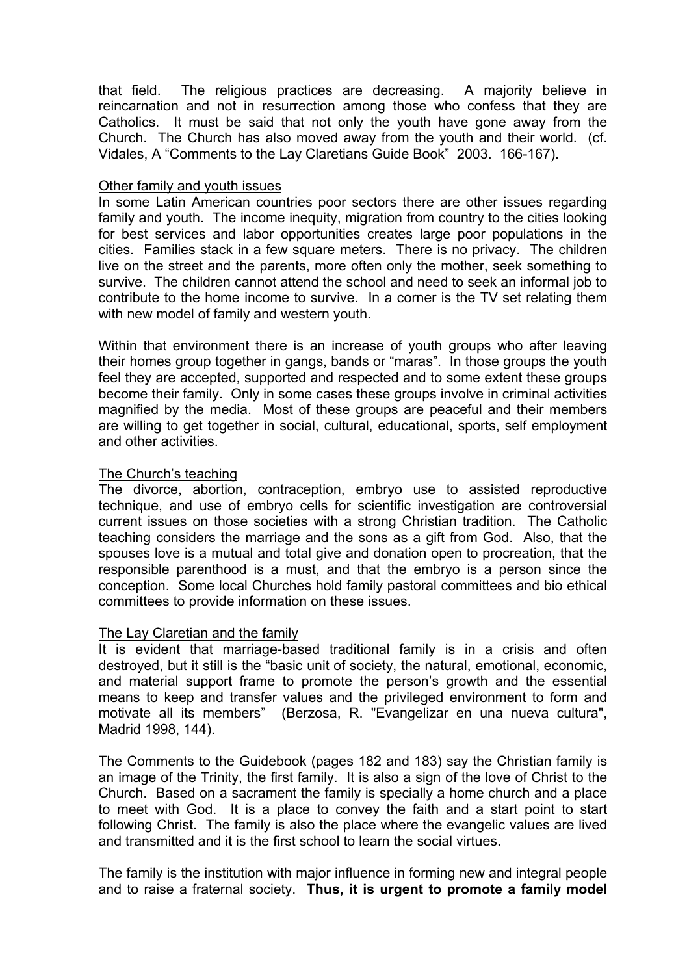that field. The religious practices are decreasing. A majority believe in reincarnation and not in resurrection among those who confess that they are Catholics. It must be said that not only the youth have gone away from the Church. The Church has also moved away from the youth and their world. (cf. Vidales, A "Comments to the Lay Claretians Guide Book" 2003. 166-167).

#### Other family and youth issues

In some Latin American countries poor sectors there are other issues regarding family and youth. The income inequity, migration from country to the cities looking for best services and labor opportunities creates large poor populations in the cities. Families stack in a few square meters. There is no privacy. The children live on the street and the parents, more often only the mother, seek something to survive. The children cannot attend the school and need to seek an informal job to contribute to the home income to survive. In a corner is the TV set relating them with new model of family and western youth.

Within that environment there is an increase of youth groups who after leaving their homes group together in gangs, bands or "maras". In those groups the youth feel they are accepted, supported and respected and to some extent these groups become their family. Only in some cases these groups involve in criminal activities magnified by the media. Most of these groups are peaceful and their members are willing to get together in social, cultural, educational, sports, self employment and other activities.

## The Church's teaching

The divorce, abortion, contraception, embryo use to assisted reproductive technique, and use of embryo cells for scientific investigation are controversial current issues on those societies with a strong Christian tradition. The Catholic teaching considers the marriage and the sons as a gift from God. Also, that the spouses love is a mutual and total give and donation open to procreation, that the responsible parenthood is a must, and that the embryo is a person since the conception. Some local Churches hold family pastoral committees and bio ethical committees to provide information on these issues.

## The Lay Claretian and the family

It is evident that marriage-based traditional family is in a crisis and often destroyed, but it still is the "basic unit of society, the natural, emotional, economic, and material support frame to promote the person's growth and the essential means to keep and transfer values and the privileged environment to form and motivate all its members" (Berzosa, R. "Evangelizar en una nueva cultura", Madrid 1998, 144).

The Comments to the Guidebook (pages 182 and 183) say the Christian family is an image of the Trinity, the first family. It is also a sign of the love of Christ to the Church. Based on a sacrament the family is specially a home church and a place to meet with God. It is a place to convey the faith and a start point to start following Christ. The family is also the place where the evangelic values are lived and transmitted and it is the first school to learn the social virtues.

The family is the institution with major influence in forming new and integral people and to raise a fraternal society. **Thus, it is urgent to promote a family model**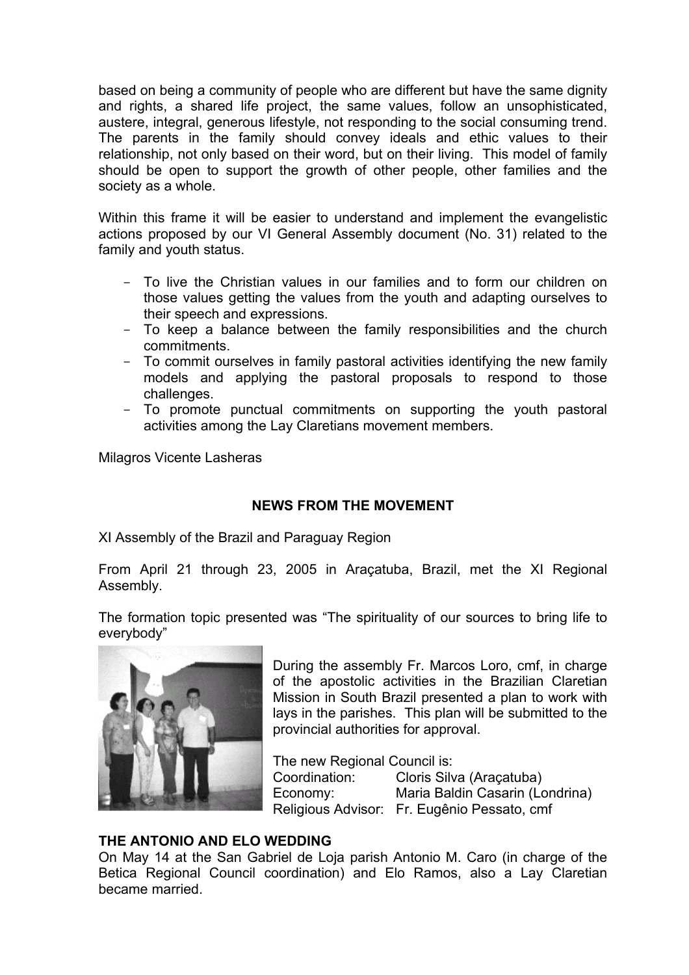based on being a community of people who are different but have the same dignity and rights, a shared life project, the same values, follow an unsophisticated, austere, integral, generous lifestyle, not responding to the social consuming trend. The parents in the family should convey ideals and ethic values to their relationship, not only based on their word, but on their living. This model of family should be open to support the growth of other people, other families and the society as a whole.

Within this frame it will be easier to understand and implement the evangelistic actions proposed by our VI General Assembly document (No. 31) related to the family and youth status.

- To live the Christian values in our families and to form our children on those values getting the values from the youth and adapting ourselves to their speech and expressions.
- To keep a balance between the family responsibilities and the church commitments.
- To commit ourselves in family pastoral activities identifying the new family models and applying the pastoral proposals to respond to those challenges.
- To promote punctual commitments on supporting the youth pastoral activities among the Lay Claretians movement members.

Milagros Vicente Lasheras

## **NEWS FROM THE MOVEMENT**

XI Assembly of the Brazil and Paraguay Region

From April 21 through 23, 2005 in Araçatuba, Brazil, met the XI Regional Assembly.

The formation topic presented was "The spirituality of our sources to bring life to everybody"



During the assembly Fr. Marcos Loro, cmf, in charge of the apostolic activities in the Brazilian Claretian Mission in South Brazil presented a plan to work with lays in the parishes. This plan will be submitted to the provincial authorities for approval.

The new Regional Council is: Coordination: Cloris Silva (Araçatuba) Economy: Maria Baldin Casarin (Londrina) Religious Advisor: Fr. Eugênio Pessato, cmf

## **THE ANTONIO AND ELO WEDDING**

On May 14 at the San Gabriel de Loja parish Antonio M. Caro (in charge of the Betica Regional Council coordination) and Elo Ramos, also a Lay Claretian became married.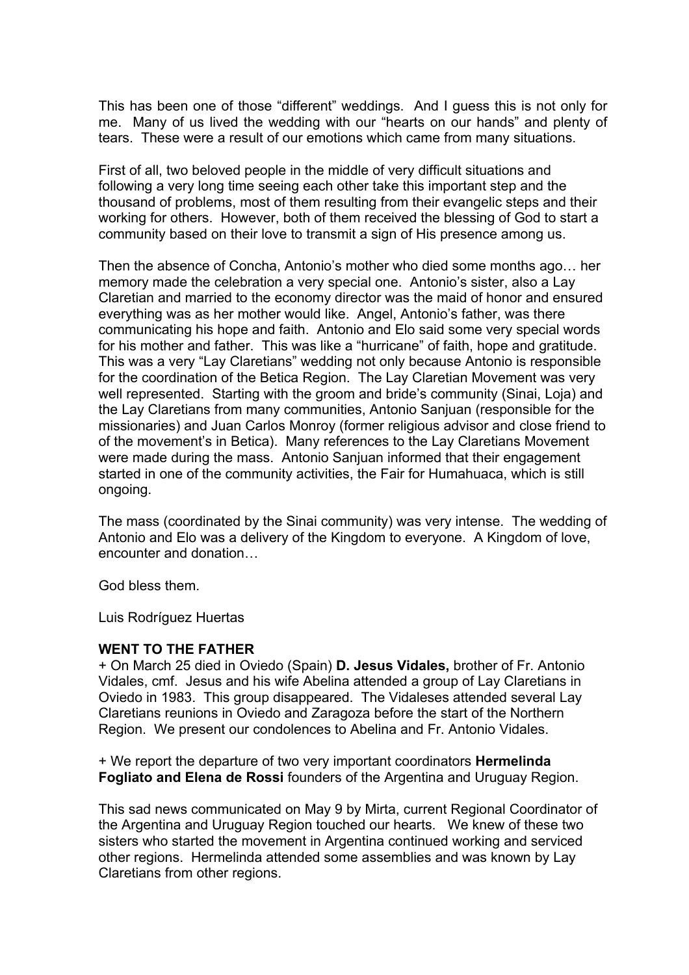This has been one of those "different" weddings. And I guess this is not only for me. Many of us lived the wedding with our "hearts on our hands" and plenty of tears. These were a result of our emotions which came from many situations.

First of all, two beloved people in the middle of very difficult situations and following a very long time seeing each other take this important step and the thousand of problems, most of them resulting from their evangelic steps and their working for others. However, both of them received the blessing of God to start a community based on their love to transmit a sign of His presence among us.

Then the absence of Concha, Antonio's mother who died some months ago… her memory made the celebration a very special one. Antonio's sister, also a Lay Claretian and married to the economy director was the maid of honor and ensured everything was as her mother would like. Angel, Antonio's father, was there communicating his hope and faith. Antonio and Elo said some very special words for his mother and father. This was like a "hurricane" of faith, hope and gratitude. This was a very "Lay Claretians" wedding not only because Antonio is responsible for the coordination of the Betica Region. The Lay Claretian Movement was very well represented. Starting with the groom and bride's community (Sinai, Loja) and the Lay Claretians from many communities, Antonio Sanjuan (responsible for the missionaries) and Juan Carlos Monroy (former religious advisor and close friend to of the movement's in Betica). Many references to the Lay Claretians Movement were made during the mass. Antonio Sanjuan informed that their engagement started in one of the community activities, the Fair for Humahuaca, which is still ongoing.

The mass (coordinated by the Sinai community) was very intense. The wedding of Antonio and Elo was a delivery of the Kingdom to everyone. A Kingdom of love, encounter and donation…

God bless them.

Luis Rodríguez Huertas

#### **WENT TO THE FATHER**

+ On March 25 died in Oviedo (Spain) **D. Jesus Vidales,** brother of Fr. Antonio Vidales, cmf. Jesus and his wife Abelina attended a group of Lay Claretians in Oviedo in 1983. This group disappeared. The Vidaleses attended several Lay Claretians reunions in Oviedo and Zaragoza before the start of the Northern Region. We present our condolences to Abelina and Fr. Antonio Vidales.

+ We report the departure of two very important coordinators **Hermelinda Fogliato and Elena de Rossi** founders of the Argentina and Uruguay Region.

This sad news communicated on May 9 by Mirta, current Regional Coordinator of the Argentina and Uruguay Region touched our hearts. We knew of these two sisters who started the movement in Argentina continued working and serviced other regions. Hermelinda attended some assemblies and was known by Lay Claretians from other regions.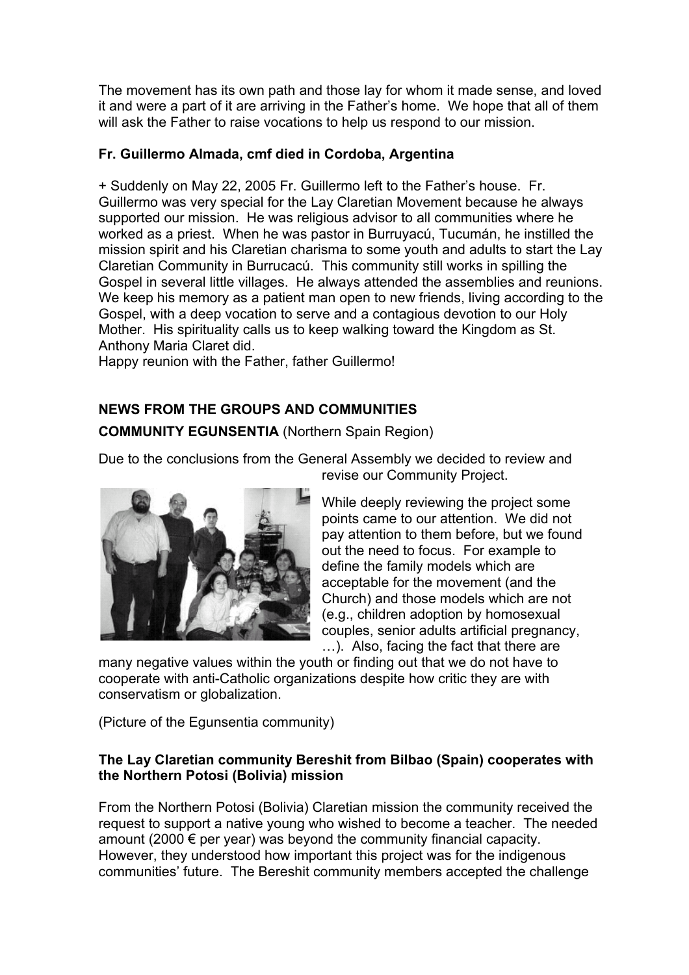The movement has its own path and those lay for whom it made sense, and loved it and were a part of it are arriving in the Father's home. We hope that all of them will ask the Father to raise vocations to help us respond to our mission.

# **Fr. Guillermo Almada, cmf died in Cordoba, Argentina**

+ Suddenly on May 22, 2005 Fr. Guillermo left to the Father's house. Fr. Guillermo was very special for the Lay Claretian Movement because he always supported our mission. He was religious advisor to all communities where he worked as a priest. When he was pastor in Burruyacú, Tucumán, he instilled the mission spirit and his Claretian charisma to some youth and adults to start the Lay Claretian Community in Burrucacú. This community still works in spilling the Gospel in several little villages. He always attended the assemblies and reunions. We keep his memory as a patient man open to new friends, living according to the Gospel, with a deep vocation to serve and a contagious devotion to our Holy Mother. His spirituality calls us to keep walking toward the Kingdom as St. Anthony Maria Claret did.

Happy reunion with the Father, father Guillermo!

# **NEWS FROM THE GROUPS AND COMMUNITIES**

**COMMUNITY EGUNSENTIA** (Northern Spain Region)

Due to the conclusions from the General Assembly we decided to review and revise our Community Project.



While deeply reviewing the project some points came to our attention. We did not pay attention to them before, but we found out the need to focus. For example to define the family models which are acceptable for the movement (and the Church) and those models which are not (e.g., children adoption by homosexual couples, senior adults artificial pregnancy, …). Also, facing the fact that there are

many negative values within the youth or finding out that we do not have to cooperate with anti-Catholic organizations despite how critic they are with conservatism or globalization.

(Picture of the Egunsentia community)

# **The Lay Claretian community Bereshit from Bilbao (Spain) cooperates with the Northern Potosi (Bolivia) mission**

From the Northern Potosi (Bolivia) Claretian mission the community received the request to support a native young who wished to become a teacher. The needed amount (2000  $\epsilon$  per year) was beyond the community financial capacity. However, they understood how important this project was for the indigenous communities' future. The Bereshit community members accepted the challenge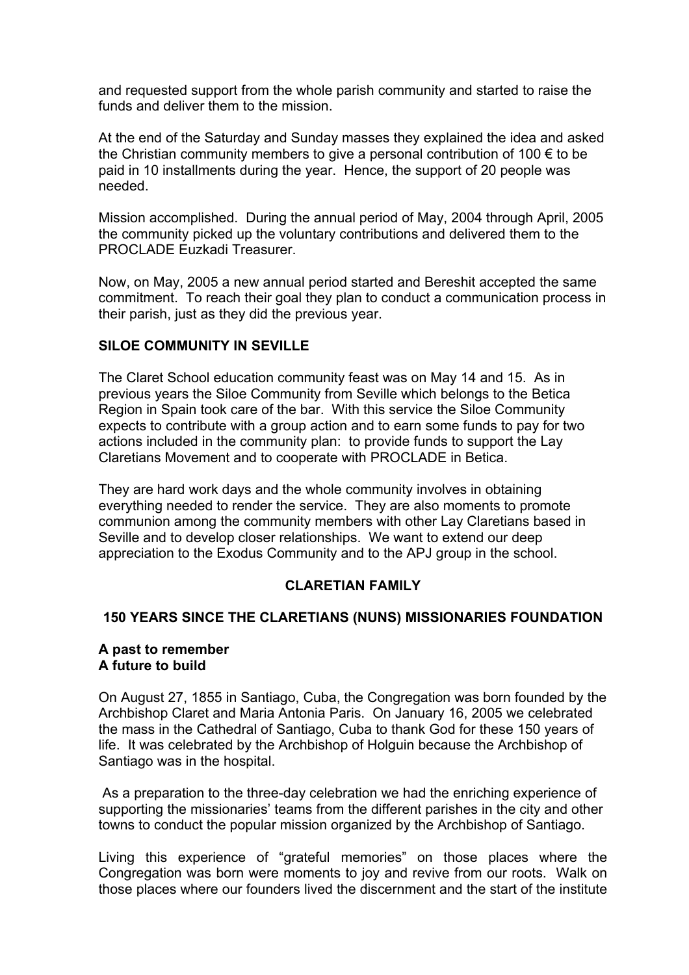and requested support from the whole parish community and started to raise the funds and deliver them to the mission.

At the end of the Saturday and Sunday masses they explained the idea and asked the Christian community members to give a personal contribution of 100  $\epsilon$  to be paid in 10 installments during the year. Hence, the support of 20 people was needed.

Mission accomplished. During the annual period of May, 2004 through April, 2005 the community picked up the voluntary contributions and delivered them to the PROCLADE Euzkadi Treasurer.

Now, on May, 2005 a new annual period started and Bereshit accepted the same commitment. To reach their goal they plan to conduct a communication process in their parish, just as they did the previous year.

## **SILOE COMMUNITY IN SEVILLE**

The Claret School education community feast was on May 14 and 15. As in previous years the Siloe Community from Seville which belongs to the Betica Region in Spain took care of the bar. With this service the Siloe Community expects to contribute with a group action and to earn some funds to pay for two actions included in the community plan: to provide funds to support the Lay Claretians Movement and to cooperate with PROCLADE in Betica.

They are hard work days and the whole community involves in obtaining everything needed to render the service. They are also moments to promote communion among the community members with other Lay Claretians based in Seville and to develop closer relationships. We want to extend our deep appreciation to the Exodus Community and to the APJ group in the school.

## **CLARETIAN FAMILY**

## **150 YEARS SINCE THE CLARETIANS (NUNS) MISSIONARIES FOUNDATION**

#### **A past to remember A future to build**

On August 27, 1855 in Santiago, Cuba, the Congregation was born founded by the Archbishop Claret and Maria Antonia Paris. On January 16, 2005 we celebrated the mass in the Cathedral of Santiago, Cuba to thank God for these 150 years of life. It was celebrated by the Archbishop of Holguin because the Archbishop of Santiago was in the hospital.

 As a preparation to the three-day celebration we had the enriching experience of supporting the missionaries' teams from the different parishes in the city and other towns to conduct the popular mission organized by the Archbishop of Santiago.

Living this experience of "grateful memories" on those places where the Congregation was born were moments to joy and revive from our roots. Walk on those places where our founders lived the discernment and the start of the institute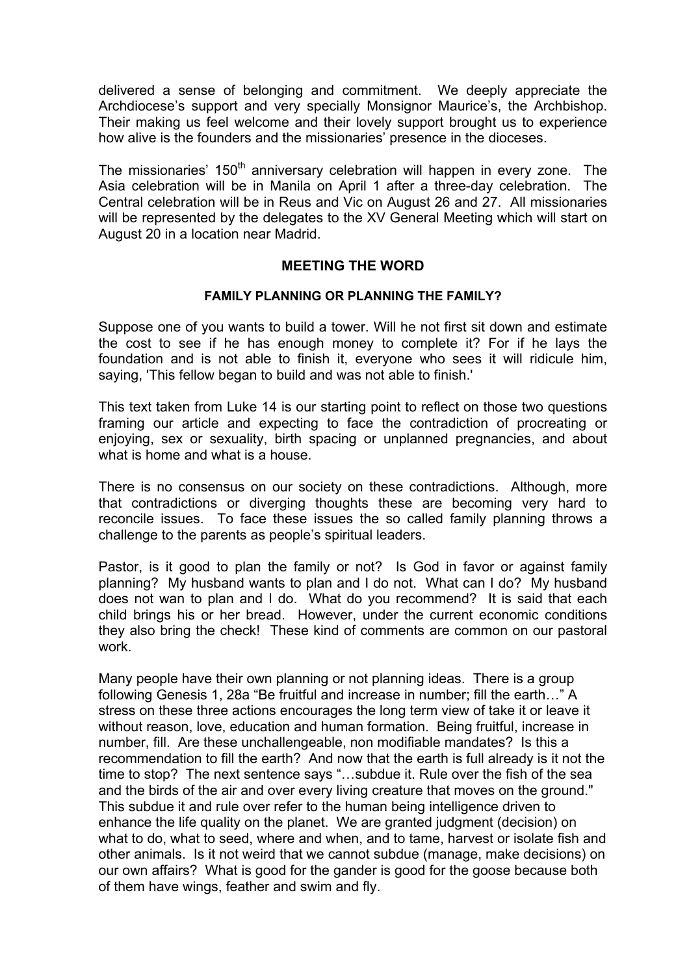delivered a sense of belonging and commitment. We deeply appreciate the Archdiocese's support and very specially Monsignor Maurice's, the Archbishop. Their making us feel welcome and their lovely support brought us to experience how alive is the founders and the missionaries' presence in the dioceses.

The missionaries'  $150<sup>th</sup>$  anniversary celebration will happen in every zone. The Asia celebration will be in Manila on April 1 after a three-day celebration. The Central celebration will be in Reus and Vic on August 26 and 27. All missionaries will be represented by the delegates to the XV General Meeting which will start on August 20 in a location near Madrid.

# **MEETING THE WORD**

#### **FAMILY PLANNING OR PLANNING THE FAMILY?**

Suppose one of you wants to build a tower. Will he not first sit down and estimate the cost to see if he has enough money to complete it? For if he lays the foundation and is not able to finish it, everyone who sees it will ridicule him, saying, 'This fellow began to build and was not able to finish.'

This text taken from Luke 14 is our starting point to reflect on those two questions framing our article and expecting to face the contradiction of procreating or enjoying, sex or sexuality, birth spacing or unplanned pregnancies, and about what is home and what is a house.

There is no consensus on our society on these contradictions. Although, more that contradictions or diverging thoughts these are becoming very hard to reconcile issues. To face these issues the so called family planning throws a challenge to the parents as people's spiritual leaders.

Pastor, is it good to plan the family or not? Is God in favor or against family planning? My husband wants to plan and I do not. What can I do? My husband does not wan to plan and I do. What do you recommend? It is said that each child brings his or her bread. However, under the current economic conditions they also bring the check! These kind of comments are common on our pastoral work.

Many people have their own planning or not planning ideas. There is a group following Genesis 1, 28a "Be fruitful and increase in number; fill the earth…" A stress on these three actions encourages the long term view of take it or leave it without reason, love, education and human formation. Being fruitful, increase in number, fill. Are these unchallengeable, non modifiable mandates? Is this a recommendation to fill the earth? And now that the earth is full already is it not the time to stop? The next sentence says "…subdue it. Rule over the fish of the sea and the birds of the air and over every living creature that moves on the ground." This subdue it and rule over refer to the human being intelligence driven to enhance the life quality on the planet. We are granted judgment (decision) on what to do, what to seed, where and when, and to tame, harvest or isolate fish and other animals. Is it not weird that we cannot subdue (manage, make decisions) on our own affairs? What is good for the gander is good for the goose because both of them have wings, feather and swim and fly.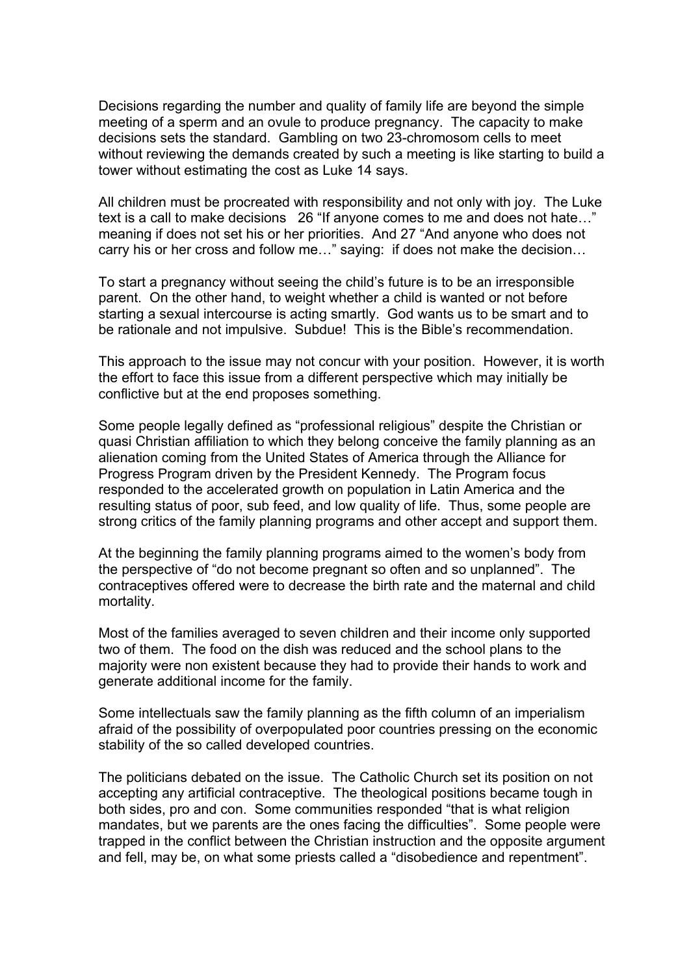Decisions regarding the number and quality of family life are beyond the simple meeting of a sperm and an ovule to produce pregnancy. The capacity to make decisions sets the standard. Gambling on two 23-chromosom cells to meet without reviewing the demands created by such a meeting is like starting to build a tower without estimating the cost as Luke 14 says.

All children must be procreated with responsibility and not only with joy. The Luke text is a call to make decisions 26 "If anyone comes to me and does not hate…" meaning if does not set his or her priorities. And 27 "And anyone who does not carry his or her cross and follow me…" saying: if does not make the decision…

To start a pregnancy without seeing the child's future is to be an irresponsible parent. On the other hand, to weight whether a child is wanted or not before starting a sexual intercourse is acting smartly. God wants us to be smart and to be rationale and not impulsive. Subdue! This is the Bible's recommendation.

This approach to the issue may not concur with your position. However, it is worth the effort to face this issue from a different perspective which may initially be conflictive but at the end proposes something.

Some people legally defined as "professional religious" despite the Christian or quasi Christian affiliation to which they belong conceive the family planning as an alienation coming from the United States of America through the Alliance for Progress Program driven by the President Kennedy. The Program focus responded to the accelerated growth on population in Latin America and the resulting status of poor, sub feed, and low quality of life. Thus, some people are strong critics of the family planning programs and other accept and support them.

At the beginning the family planning programs aimed to the women's body from the perspective of "do not become pregnant so often and so unplanned". The contraceptives offered were to decrease the birth rate and the maternal and child mortality.

Most of the families averaged to seven children and their income only supported two of them. The food on the dish was reduced and the school plans to the majority were non existent because they had to provide their hands to work and generate additional income for the family.

Some intellectuals saw the family planning as the fifth column of an imperialism afraid of the possibility of overpopulated poor countries pressing on the economic stability of the so called developed countries.

The politicians debated on the issue. The Catholic Church set its position on not accepting any artificial contraceptive. The theological positions became tough in both sides, pro and con. Some communities responded "that is what religion mandates, but we parents are the ones facing the difficulties". Some people were trapped in the conflict between the Christian instruction and the opposite argument and fell, may be, on what some priests called a "disobedience and repentment".